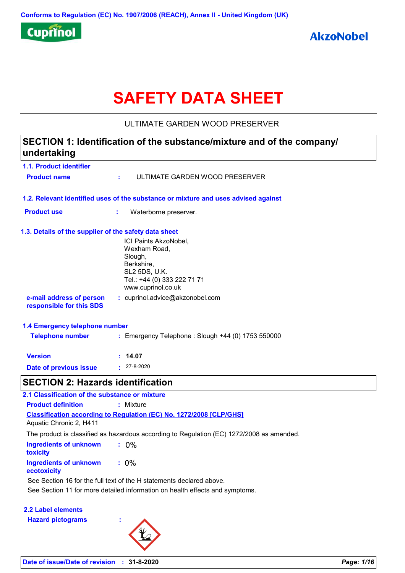

# **SAFETY DATA SHEET**

ULTIMATE GARDEN WOOD PRESERVER

## **1.1. Product identifier 1.3. Details of the supplier of the safety data sheet 1.2. Relevant identified uses of the substance or mixture and uses advised against SECTION 1: Identification of the substance/mixture and of the company/ undertaking Date of previous issue :** 27-8-2020 ICI Paints AkzoNobel, Wexham Road, Slough, Berkshire, SL2 5DS, U.K. Tel.: +44 (0) 333 222 71 71 www.cuprinol.co.uk **e-mail address of person responsible for this SDS :** cuprinol.advice@akzonobel.com **1.4 Emergency telephone number Version : 14.07 Product name :** ULTIMATE GARDEN WOOD PRESERVER **Product use :** Waterborne preserver. **Telephone number :** Emergency Telephone : Slough +44 (0) 1753 550000 **SECTION 2: Hazards identification**

| 2.1 Classification of the substance or mixture |                                                                                           |
|------------------------------------------------|-------------------------------------------------------------------------------------------|
| <b>Product definition</b>                      | : Mixture                                                                                 |
| Aquatic Chronic 2, H411                        | <b>Classification according to Regulation (EC) No. 1272/2008 [CLP/GHS]</b>                |
|                                                | The product is classified as hazardous according to Regulation (EC) 1272/2008 as amended. |
| Ingredients of unknown<br>toxicity             | $.0\%$                                                                                    |
| <b>Ingredients of unknown</b><br>ecotoxicity   | $: 0\%$                                                                                   |
|                                                | See Section 16 for the full text of the H statements declared above.                      |
|                                                | See Section 11 for more detailed information on health effects and symptoms.              |

**2.2 Label elements**

**Hazard pictograms :**

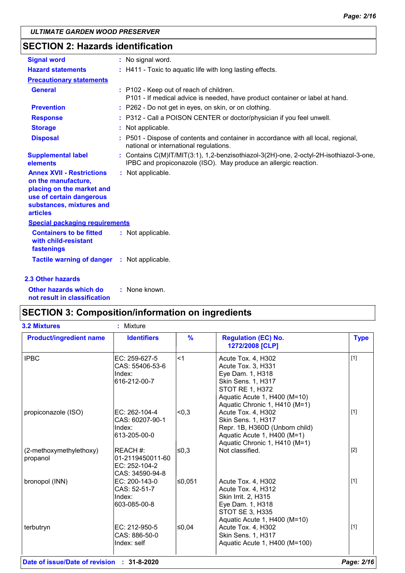# **SECTION 2: Hazards identification**

| <b>Signal word</b>                                                                                                                                              | : No signal word.                                                                                                                                         |
|-----------------------------------------------------------------------------------------------------------------------------------------------------------------|-----------------------------------------------------------------------------------------------------------------------------------------------------------|
| <b>Hazard statements</b>                                                                                                                                        | : H411 - Toxic to aquatic life with long lasting effects.                                                                                                 |
| <b>Precautionary statements</b>                                                                                                                                 |                                                                                                                                                           |
| <b>General</b>                                                                                                                                                  | : P102 - Keep out of reach of children.<br>P101 - If medical advice is needed, have product container or label at hand.                                   |
| <b>Prevention</b>                                                                                                                                               | : P262 - Do not get in eyes, on skin, or on clothing.                                                                                                     |
| <b>Response</b>                                                                                                                                                 | : P312 - Call a POISON CENTER or doctor/physician if you feel unwell.                                                                                     |
| <b>Storage</b>                                                                                                                                                  | : Not applicable.                                                                                                                                         |
| <b>Disposal</b>                                                                                                                                                 | : P501 - Dispose of contents and container in accordance with all local, regional,<br>national or international regulations.                              |
| <b>Supplemental label</b><br>elements                                                                                                                           | : Contains C(M)IT/MIT(3:1), 1,2-benzisothiazol-3(2H)-one, 2-octyl-2H-isothiazol-3-one,<br>IPBC and propiconazole (ISO). May produce an allergic reaction. |
| <b>Annex XVII - Restrictions</b><br>on the manufacture,<br>placing on the market and<br>use of certain dangerous<br>substances, mixtures and<br><b>articles</b> | : Not applicable.                                                                                                                                         |
| <b>Special packaging requirements</b>                                                                                                                           |                                                                                                                                                           |
| <b>Containers to be fitted</b><br>with child-resistant<br>fastenings                                                                                            | : Not applicable.                                                                                                                                         |
| <b>Tactile warning of danger</b>                                                                                                                                | : Not applicable.                                                                                                                                         |
| 2.3 Other hazards                                                                                                                                               |                                                                                                                                                           |

**Other hazards which do : not result in classification** : None known.

### **SECTION 3: Composition/information on ingredients**

| <b>3.2 Mixtures</b>                 | Mixture<br>ŧ.                                                    |               |                                                                                                                                                                               |             |
|-------------------------------------|------------------------------------------------------------------|---------------|-------------------------------------------------------------------------------------------------------------------------------------------------------------------------------|-------------|
| <b>Product/ingredient name</b>      | <b>Identifiers</b>                                               | $\frac{9}{6}$ | <b>Regulation (EC) No.</b><br>1272/2008 [CLP]                                                                                                                                 | <b>Type</b> |
| <b>IPBC</b>                         | EC: 259-627-5<br>CAS: 55406-53-6<br>Index:<br>616-212-00-7       | $1$           | Acute Tox. 4, H302<br>Acute Tox. 3, H331<br>Eye Dam. 1, H318<br>Skin Sens. 1, H317<br><b>STOT RE 1, H372</b><br>Aquatic Acute 1, H400 (M=10)<br>Aquatic Chronic 1, H410 (M=1) | $[1]$       |
| propiconazole (ISO)                 | EC: 262-104-4<br>CAS: 60207-90-1<br>Index:<br>613-205-00-0       | < 0.3         | Acute Tox. 4, H302<br>Skin Sens. 1, H317<br>Repr. 1B, H360D (Unborn child)<br>Aquatic Acute 1, H400 (M=1)<br>Aquatic Chronic 1, H410 (M=1)                                    | $[1]$       |
| (2-methoxymethylethoxy)<br>propanol | REACH #:<br>01-2119450011-60<br>EC: 252-104-2<br>CAS: 34590-94-8 | l≤0.3         | Not classified.                                                                                                                                                               | $[2]$       |
| bronopol (INN)                      | EC: 200-143-0<br>CAS: 52-51-7<br>Index:<br>603-085-00-8          | ≤0,051        | Acute Tox. 4, H302<br>Acute Tox. 4, H312<br>Skin Irrit. 2, H315<br>Eye Dam. 1, H318<br>STOT SE 3, H335<br>Aquatic Acute 1, H400 (M=10)                                        | $[1]$       |
| terbutryn                           | EC: 212-950-5<br>CAS: 886-50-0<br>Index: self                    | l≤0.04        | Acute Tox. 4, H302<br>Skin Sens. 1, H317<br>Aquatic Acute 1, H400 (M=100)                                                                                                     | $[1]$       |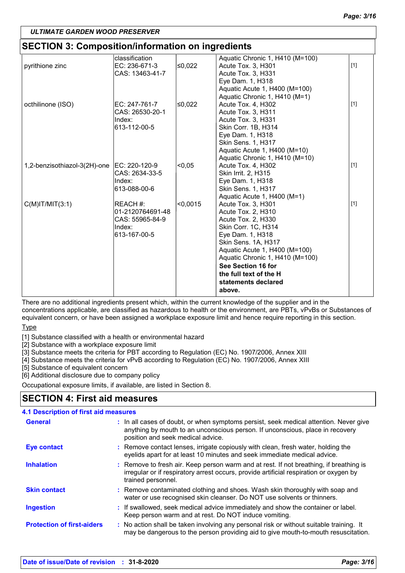# **SECTION 3: Composition/information on ingredients**

|                              | classification   |          | Aquatic Chronic 1, H410 (M=100) |       |
|------------------------------|------------------|----------|---------------------------------|-------|
| pyrithione zinc              | EC: 236-671-3    | ≤0,022   | Acute Tox. 3, H301              | $[1]$ |
|                              | CAS: 13463-41-7  |          | Acute Tox. 3, H331              |       |
|                              |                  |          | Eye Dam. 1, H318                |       |
|                              |                  |          | Aquatic Acute 1, H400 (M=100)   |       |
|                              |                  |          | Aquatic Chronic 1, H410 (M=1)   |       |
| octhilinone (ISO)            | EC: 247-761-7    | ≤0,022   | Acute Tox. 4, H302              | $[1]$ |
|                              | CAS: 26530-20-1  |          | Acute Tox. 3, H311              |       |
|                              | Index:           |          | Acute Tox. 3, H331              |       |
|                              | 613-112-00-5     |          | Skin Corr. 1B, H314             |       |
|                              |                  |          | Eye Dam. 1, H318                |       |
|                              |                  |          | Skin Sens. 1, H317              |       |
|                              |                  |          | Aquatic Acute 1, H400 (M=10)    |       |
|                              |                  |          | Aquatic Chronic 1, H410 (M=10)  |       |
| 1,2-benzisothiazol-3(2H)-one | IEC: 220-120-9   | < 0.05   | Acute Tox. 4, H302              | $[1]$ |
|                              | CAS: 2634-33-5   |          | Skin Irrit. 2, H315             |       |
|                              | Index:           |          | Eye Dam. 1, H318                |       |
|                              | 613-088-00-6     |          | Skin Sens. 1, H317              |       |
|                              |                  |          | Aquatic Acute 1, H400 (M=1)     |       |
| $C(M)$ IT/MIT $(3:1)$        | REACH #:         | < 0,0015 | Acute Tox. 3, H301              | $[1]$ |
|                              | 01-2120764691-48 |          | Acute Tox. 2, H310              |       |
|                              | CAS: 55965-84-9  |          | Acute Tox. 2, H330              |       |
|                              | Index:           |          | Skin Corr. 1C, H314             |       |
|                              | 613-167-00-5     |          | Eye Dam. 1, H318                |       |
|                              |                  |          | Skin Sens. 1A, H317             |       |
|                              |                  |          | Aquatic Acute 1, H400 (M=100)   |       |
|                              |                  |          | Aquatic Chronic 1, H410 (M=100) |       |
|                              |                  |          | See Section 16 for              |       |
|                              |                  |          | the full text of the H          |       |
|                              |                  |          | statements declared             |       |
|                              |                  |          | above.                          |       |
|                              |                  |          |                                 |       |

There are no additional ingredients present which, within the current knowledge of the supplier and in the concentrations applicable, are classified as hazardous to health or the environment, are PBTs, vPvBs or Substances of equivalent concern, or have been assigned a workplace exposure limit and hence require reporting in this section.

#### **Type**

[1] Substance classified with a health or environmental hazard

[2] Substance with a workplace exposure limit

[3] Substance meets the criteria for PBT according to Regulation (EC) No. 1907/2006, Annex XIII

[4] Substance meets the criteria for vPvB according to Regulation (EC) No. 1907/2006, Annex XIII

[5] Substance of equivalent concern

[6] Additional disclosure due to company policy

Occupational exposure limits, if available, are listed in Section 8.

### **SECTION 4: First aid measures**

#### **4.1 Description of first aid measures**

| <b>General</b>                    | : In all cases of doubt, or when symptoms persist, seek medical attention. Never give<br>anything by mouth to an unconscious person. If unconscious, place in recovery<br>position and seek medical advice. |
|-----------------------------------|-------------------------------------------------------------------------------------------------------------------------------------------------------------------------------------------------------------|
| <b>Eye contact</b>                | : Remove contact lenses, irrigate copiously with clean, fresh water, holding the<br>eyelids apart for at least 10 minutes and seek immediate medical advice.                                                |
| <b>Inhalation</b>                 | : Remove to fresh air. Keep person warm and at rest. If not breathing, if breathing is<br>irregular or if respiratory arrest occurs, provide artificial respiration or oxygen by<br>trained personnel.      |
| <b>Skin contact</b>               | : Remove contaminated clothing and shoes. Wash skin thoroughly with soap and<br>water or use recognised skin cleanser. Do NOT use solvents or thinners.                                                     |
| <b>Ingestion</b>                  | : If swallowed, seek medical advice immediately and show the container or label.<br>Keep person warm and at rest. Do NOT induce vomiting.                                                                   |
| <b>Protection of first-aiders</b> | : No action shall be taken involving any personal risk or without suitable training. It<br>may be dangerous to the person providing aid to give mouth-to-mouth resuscitation.                               |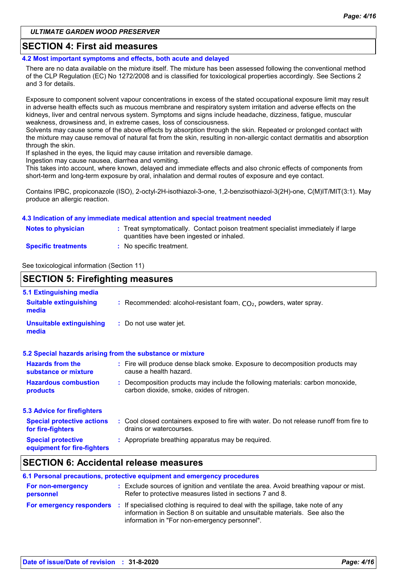### **SECTION 4: First aid measures**

#### **4.2 Most important symptoms and effects, both acute and delayed**

There are no data available on the mixture itself. The mixture has been assessed following the conventional method of the CLP Regulation (EC) No 1272/2008 and is classified for toxicological properties accordingly. See Sections 2 and 3 for details.

Exposure to component solvent vapour concentrations in excess of the stated occupational exposure limit may result in adverse health effects such as mucous membrane and respiratory system irritation and adverse effects on the kidneys, liver and central nervous system. Symptoms and signs include headache, dizziness, fatigue, muscular weakness, drowsiness and, in extreme cases, loss of consciousness.

Solvents may cause some of the above effects by absorption through the skin. Repeated or prolonged contact with the mixture may cause removal of natural fat from the skin, resulting in non-allergic contact dermatitis and absorption through the skin.

If splashed in the eyes, the liquid may cause irritation and reversible damage.

Ingestion may cause nausea, diarrhea and vomiting.

This takes into account, where known, delayed and immediate effects and also chronic effects of components from short-term and long-term exposure by oral, inhalation and dermal routes of exposure and eye contact.

Contains IPBC, propiconazole (ISO), 2-octyl-2H-isothiazol-3-one, 1,2-benzisothiazol-3(2H)-one, C(M)IT/MIT(3:1). May produce an allergic reaction.

#### **4.3 Indication of any immediate medical attention and special treatment needed**

| <b>Notes to physician</b>  | : Treat symptomatically. Contact poison treatment specialist immediately if large<br>quantities have been ingested or inhaled. |
|----------------------------|--------------------------------------------------------------------------------------------------------------------------------|
| <b>Specific treatments</b> | No specific treatment.                                                                                                         |

See toxicological information (Section 11)

| <b>SECTION 5: Firefighting measures</b>                           |                                                                                                                              |  |  |
|-------------------------------------------------------------------|------------------------------------------------------------------------------------------------------------------------------|--|--|
| 5.1 Extinguishing media<br><b>Suitable extinguishing</b><br>media | : Recommended: alcohol-resistant foam, $CO2$ , powders, water spray.                                                         |  |  |
| <b>Unsuitable extinguishing</b><br>media                          | : Do not use water jet.                                                                                                      |  |  |
|                                                                   | 5.2 Special hazards arising from the substance or mixture                                                                    |  |  |
| <b>Hazards from the</b><br>substance or mixture                   | : Fire will produce dense black smoke. Exposure to decomposition products may<br>cause a health hazard.                      |  |  |
| <b>Hazardous combustion</b><br>products                           | : Decomposition products may include the following materials: carbon monoxide,<br>carbon dioxide, smoke, oxides of nitrogen. |  |  |
| <b>5.3 Advice for firefighters</b>                                |                                                                                                                              |  |  |
| <b>Special protective actions</b><br>for fire-fighters            | : Cool closed containers exposed to fire with water. Do not release runoff from fire to<br>drains or watercourses.           |  |  |
| <b>Special protective</b><br>equipment for fire-fighters          | : Appropriate breathing apparatus may be required.                                                                           |  |  |
|                                                                   |                                                                                                                              |  |  |

### **SECTION 6: Accidental release measures**

|                                | 6.1 Personal precautions, protective equipment and emergency procedures                                                                                                                                           |
|--------------------------------|-------------------------------------------------------------------------------------------------------------------------------------------------------------------------------------------------------------------|
| For non-emergency<br>personnel | : Exclude sources of ignition and ventilate the area. Avoid breathing vapour or mist.<br>Refer to protective measures listed in sections 7 and 8.                                                                 |
| For emergency responders       | : If specialised clothing is required to deal with the spillage, take note of any<br>information in Section 8 on suitable and unsuitable materials. See also the<br>information in "For non-emergency personnel". |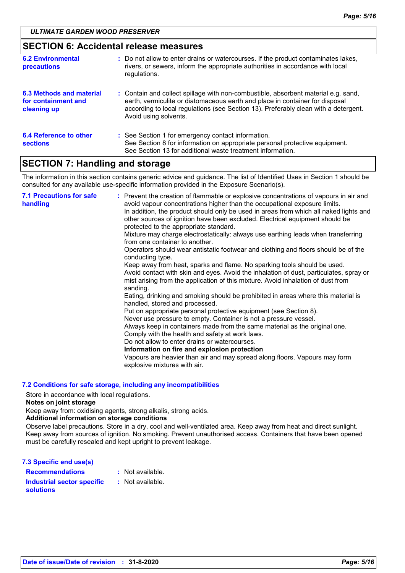### **SECTION 6: Accidental release measures**

| <b>6.2 Environmental</b><br><b>precautions</b>                        | : Do not allow to enter drains or watercourses. If the product contaminates lakes,<br>rivers, or sewers, inform the appropriate authorities in accordance with local<br>regulations.                                                                                               |
|-----------------------------------------------------------------------|------------------------------------------------------------------------------------------------------------------------------------------------------------------------------------------------------------------------------------------------------------------------------------|
| <b>6.3 Methods and material</b><br>for containment and<br>cleaning up | : Contain and collect spillage with non-combustible, absorbent material e.g. sand,<br>earth, vermiculite or diatomaceous earth and place in container for disposal<br>according to local regulations (see Section 13). Preferably clean with a detergent.<br>Avoid using solvents. |
| 6.4 Reference to other<br><b>sections</b>                             | : See Section 1 for emergency contact information.<br>See Section 8 for information on appropriate personal protective equipment.<br>See Section 13 for additional waste treatment information.                                                                                    |

### **SECTION 7: Handling and storage**

The information in this section contains generic advice and guidance. The list of Identified Uses in Section 1 should be consulted for any available use-specific information provided in the Exposure Scenario(s).

| <b>7.1 Precautions for safe</b><br>handling | : Prevent the creation of flammable or explosive concentrations of vapours in air and<br>avoid vapour concentrations higher than the occupational exposure limits.<br>In addition, the product should only be used in areas from which all naked lights and<br>other sources of ignition have been excluded. Electrical equipment should be<br>protected to the appropriate standard.<br>Mixture may charge electrostatically: always use earthing leads when transferring<br>from one container to another.<br>Operators should wear antistatic footwear and clothing and floors should be of the<br>conducting type.<br>Keep away from heat, sparks and flame. No sparking tools should be used.<br>Avoid contact with skin and eyes. Avoid the inhalation of dust, particulates, spray or<br>mist arising from the application of this mixture. Avoid inhalation of dust from<br>sanding.<br>Eating, drinking and smoking should be prohibited in areas where this material is<br>handled, stored and processed.<br>Put on appropriate personal protective equipment (see Section 8).<br>Never use pressure to empty. Container is not a pressure vessel.<br>Always keep in containers made from the same material as the original one.<br>Comply with the health and safety at work laws.<br>Do not allow to enter drains or watercourses.<br>Information on fire and explosion protection<br>Vapours are heavier than air and may spread along floors. Vapours may form<br>explosive mixtures with air. |
|---------------------------------------------|--------------------------------------------------------------------------------------------------------------------------------------------------------------------------------------------------------------------------------------------------------------------------------------------------------------------------------------------------------------------------------------------------------------------------------------------------------------------------------------------------------------------------------------------------------------------------------------------------------------------------------------------------------------------------------------------------------------------------------------------------------------------------------------------------------------------------------------------------------------------------------------------------------------------------------------------------------------------------------------------------------------------------------------------------------------------------------------------------------------------------------------------------------------------------------------------------------------------------------------------------------------------------------------------------------------------------------------------------------------------------------------------------------------------------------------------------------------------------------------------------------------|
|---------------------------------------------|--------------------------------------------------------------------------------------------------------------------------------------------------------------------------------------------------------------------------------------------------------------------------------------------------------------------------------------------------------------------------------------------------------------------------------------------------------------------------------------------------------------------------------------------------------------------------------------------------------------------------------------------------------------------------------------------------------------------------------------------------------------------------------------------------------------------------------------------------------------------------------------------------------------------------------------------------------------------------------------------------------------------------------------------------------------------------------------------------------------------------------------------------------------------------------------------------------------------------------------------------------------------------------------------------------------------------------------------------------------------------------------------------------------------------------------------------------------------------------------------------------------|

#### **7.2 Conditions for safe storage, including any incompatibilities**

Store in accordance with local regulations.

**Notes on joint storage**

Keep away from: oxidising agents, strong alkalis, strong acids.

#### **Additional information on storage conditions**

Observe label precautions. Store in a dry, cool and well-ventilated area. Keep away from heat and direct sunlight. Keep away from sources of ignition. No smoking. Prevent unauthorised access. Containers that have been opened must be carefully resealed and kept upright to prevent leakage.

| 7.3 Specific end use(s)                               |                  |
|-------------------------------------------------------|------------------|
| <b>Recommendations</b>                                | : Not available. |
| <b>Industrial sector specific</b><br><b>solutions</b> | : Not available. |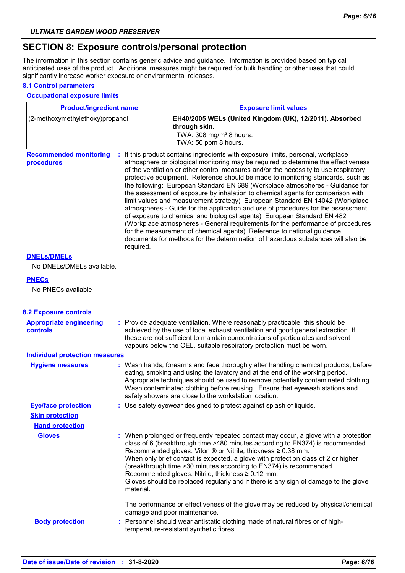### **SECTION 8: Exposure controls/personal protection**

The information in this section contains generic advice and guidance. Information is provided based on typical anticipated uses of the product. Additional measures might be required for bulk handling or other uses that could significantly increase worker exposure or environmental releases.

#### **8.1 Control parameters**

#### **Occupational exposure limits**

| <b>Product/ingredient name</b>                    |           | <b>Exposure limit values</b>                                                                                                                                                                                                                                                                                                                                                                                                                                                                                                                                                                                                                                                                                                                                                                                                                                                                                                                                                                                          |  |  |
|---------------------------------------------------|-----------|-----------------------------------------------------------------------------------------------------------------------------------------------------------------------------------------------------------------------------------------------------------------------------------------------------------------------------------------------------------------------------------------------------------------------------------------------------------------------------------------------------------------------------------------------------------------------------------------------------------------------------------------------------------------------------------------------------------------------------------------------------------------------------------------------------------------------------------------------------------------------------------------------------------------------------------------------------------------------------------------------------------------------|--|--|
| (2-methoxymethylethoxy)propanol                   |           | EH40/2005 WELs (United Kingdom (UK), 12/2011). Absorbed<br>through skin.<br>TWA: 308 mg/m <sup>3</sup> 8 hours.<br>TWA: 50 ppm 8 hours.                                                                                                                                                                                                                                                                                                                                                                                                                                                                                                                                                                                                                                                                                                                                                                                                                                                                               |  |  |
| <b>Recommended monitoring</b><br>procedures       | required. | : If this product contains ingredients with exposure limits, personal, workplace<br>atmosphere or biological monitoring may be required to determine the effectiveness<br>of the ventilation or other control measures and/or the necessity to use respiratory<br>protective equipment. Reference should be made to monitoring standards, such as<br>the following: European Standard EN 689 (Workplace atmospheres - Guidance for<br>the assessment of exposure by inhalation to chemical agents for comparison with<br>limit values and measurement strategy) European Standard EN 14042 (Workplace<br>atmospheres - Guide for the application and use of procedures for the assessment<br>of exposure to chemical and biological agents) European Standard EN 482<br>(Workplace atmospheres - General requirements for the performance of procedures<br>for the measurement of chemical agents) Reference to national guidance<br>documents for methods for the determination of hazardous substances will also be |  |  |
| <b>DNELS/DMELS</b><br>No DNELs/DMELs available.   |           |                                                                                                                                                                                                                                                                                                                                                                                                                                                                                                                                                                                                                                                                                                                                                                                                                                                                                                                                                                                                                       |  |  |
| <b>PNECs</b><br>No PNECs available                |           |                                                                                                                                                                                                                                                                                                                                                                                                                                                                                                                                                                                                                                                                                                                                                                                                                                                                                                                                                                                                                       |  |  |
| <b>8.2 Exposure controls</b>                      |           |                                                                                                                                                                                                                                                                                                                                                                                                                                                                                                                                                                                                                                                                                                                                                                                                                                                                                                                                                                                                                       |  |  |
| <b>Appropriate engineering</b><br><b>controls</b> |           | : Provide adequate ventilation. Where reasonably practicable, this should be<br>achieved by the use of local exhaust ventilation and good general extraction. If<br>these are not sufficient to maintain concentrations of particulates and solvent<br>vapours below the OEL, suitable respiratory protection must be worn.                                                                                                                                                                                                                                                                                                                                                                                                                                                                                                                                                                                                                                                                                           |  |  |
| <b>Individual protection measures</b>             |           |                                                                                                                                                                                                                                                                                                                                                                                                                                                                                                                                                                                                                                                                                                                                                                                                                                                                                                                                                                                                                       |  |  |
| <b>Hygiene measures</b>                           |           | : Wash hands, forearms and face thoroughly after handling chemical products, before<br>eating, smoking and using the lavatory and at the end of the working period.<br>Appropriate techniques should be used to remove potentially contaminated clothing.<br>Wash contaminated clothing before reusing. Ensure that eyewash stations and<br>safety showers are close to the workstation location.                                                                                                                                                                                                                                                                                                                                                                                                                                                                                                                                                                                                                     |  |  |
| <b>Eye/face protection</b>                        |           | : Use safety eyewear designed to protect against splash of liquids.                                                                                                                                                                                                                                                                                                                                                                                                                                                                                                                                                                                                                                                                                                                                                                                                                                                                                                                                                   |  |  |
| <b>Skin protection</b>                            |           |                                                                                                                                                                                                                                                                                                                                                                                                                                                                                                                                                                                                                                                                                                                                                                                                                                                                                                                                                                                                                       |  |  |
| <b>Hand protection</b>                            |           |                                                                                                                                                                                                                                                                                                                                                                                                                                                                                                                                                                                                                                                                                                                                                                                                                                                                                                                                                                                                                       |  |  |
| <b>Gloves</b>                                     | material. | : When prolonged or frequently repeated contact may occur, a glove with a protection<br>class of 6 (breakthrough time >480 minutes according to EN374) is recommended.<br>Recommended gloves: Viton ® or Nitrile, thickness ≥ 0.38 mm.<br>When only brief contact is expected, a glove with protection class of 2 or higher<br>(breakthrough time > 30 minutes according to EN374) is recommended.<br>Recommended gloves: Nitrile, thickness ≥ 0.12 mm.<br>Gloves should be replaced regularly and if there is any sign of damage to the glove                                                                                                                                                                                                                                                                                                                                                                                                                                                                        |  |  |
| <b>Body protection</b>                            |           | The performance or effectiveness of the glove may be reduced by physical/chemical<br>damage and poor maintenance.<br>: Personnel should wear antistatic clothing made of natural fibres or of high-                                                                                                                                                                                                                                                                                                                                                                                                                                                                                                                                                                                                                                                                                                                                                                                                                   |  |  |
|                                                   |           | temperature-resistant synthetic fibres.                                                                                                                                                                                                                                                                                                                                                                                                                                                                                                                                                                                                                                                                                                                                                                                                                                                                                                                                                                               |  |  |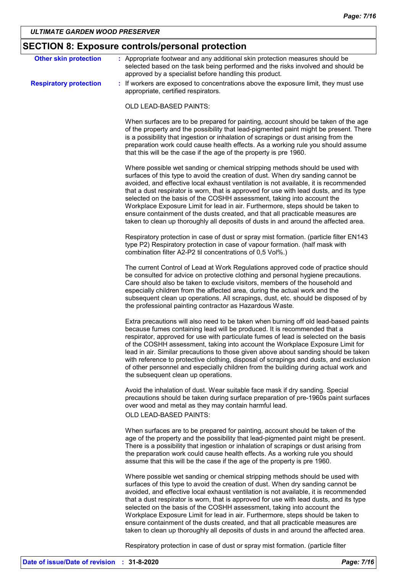# **SECTION 8: Exposure controls/personal protection**

| <b>Other skin protection</b>  | : Appropriate footwear and any additional skin protection measures should be<br>selected based on the task being performed and the risks involved and should be<br>approved by a specialist before handling this product.                                                                                                                                                                                                                                                                                                                                                                                                                                                               |
|-------------------------------|-----------------------------------------------------------------------------------------------------------------------------------------------------------------------------------------------------------------------------------------------------------------------------------------------------------------------------------------------------------------------------------------------------------------------------------------------------------------------------------------------------------------------------------------------------------------------------------------------------------------------------------------------------------------------------------------|
| <b>Respiratory protection</b> | : If workers are exposed to concentrations above the exposure limit, they must use<br>appropriate, certified respirators.                                                                                                                                                                                                                                                                                                                                                                                                                                                                                                                                                               |
|                               | OLD LEAD-BASED PAINTS:                                                                                                                                                                                                                                                                                                                                                                                                                                                                                                                                                                                                                                                                  |
|                               | When surfaces are to be prepared for painting, account should be taken of the age<br>of the property and the possibility that lead-pigmented paint might be present. There<br>is a possibility that ingestion or inhalation of scrapings or dust arising from the<br>preparation work could cause health effects. As a working rule you should assume<br>that this will be the case if the age of the property is pre 1960.                                                                                                                                                                                                                                                             |
|                               | Where possible wet sanding or chemical stripping methods should be used with<br>surfaces of this type to avoid the creation of dust. When dry sanding cannot be<br>avoided, and effective local exhaust ventilation is not available, it is recommended<br>that a dust respirator is worn, that is approved for use with lead dusts, and its type<br>selected on the basis of the COSHH assessment, taking into account the<br>Workplace Exposure Limit for lead in air. Furthermore, steps should be taken to<br>ensure containment of the dusts created, and that all practicable measures are<br>taken to clean up thoroughly all deposits of dusts in and around the affected area. |
|                               | Respiratory protection in case of dust or spray mist formation. (particle filter EN143<br>type P2) Respiratory protection in case of vapour formation. (half mask with<br>combination filter A2-P2 til concentrations of 0,5 Vol%.)                                                                                                                                                                                                                                                                                                                                                                                                                                                     |
|                               | The current Control of Lead at Work Regulations approved code of practice should<br>be consulted for advice on protective clothing and personal hygiene precautions.<br>Care should also be taken to exclude visitors, members of the household and<br>especially children from the affected area, during the actual work and the<br>subsequent clean up operations. All scrapings, dust, etc. should be disposed of by<br>the professional painting contractor as Hazardous Waste.                                                                                                                                                                                                     |
|                               | Extra precautions will also need to be taken when burning off old lead-based paints<br>because fumes containing lead will be produced. It is recommended that a<br>respirator, approved for use with particulate fumes of lead is selected on the basis<br>of the COSHH assessment, taking into account the Workplace Exposure Limit for<br>lead in air. Similar precautions to those given above about sanding should be taken<br>with reference to protective clothing, disposal of scrapings and dusts, and exclusion<br>of other personnel and especially children from the building during actual work and<br>the subsequent clean up operations.                                  |
|                               | Avoid the inhalation of dust. Wear suitable face mask if dry sanding. Special<br>precautions should be taken during surface preparation of pre-1960s paint surfaces<br>over wood and metal as they may contain harmful lead.<br><b>OLD LEAD-BASED PAINTS:</b>                                                                                                                                                                                                                                                                                                                                                                                                                           |
|                               | When surfaces are to be prepared for painting, account should be taken of the<br>age of the property and the possibility that lead-pigmented paint might be present.<br>There is a possibility that ingestion or inhalation of scrapings or dust arising from<br>the preparation work could cause health effects. As a working rule you should<br>assume that this will be the case if the age of the property is pre 1960.                                                                                                                                                                                                                                                             |
|                               | Where possible wet sanding or chemical stripping methods should be used with<br>surfaces of this type to avoid the creation of dust. When dry sanding cannot be<br>avoided, and effective local exhaust ventilation is not available, it is recommended<br>that a dust respirator is worn, that is approved for use with lead dusts, and its type<br>selected on the basis of the COSHH assessment, taking into account the<br>Workplace Exposure Limit for lead in air. Furthermore, steps should be taken to<br>ensure containment of the dusts created, and that all practicable measures are<br>taken to clean up thoroughly all deposits of dusts in and around the affected area. |
|                               | Respiratory protection in case of dust or spray mist formation. (particle filter                                                                                                                                                                                                                                                                                                                                                                                                                                                                                                                                                                                                        |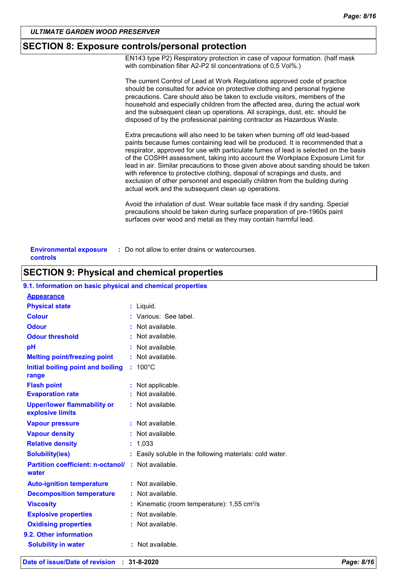### **SECTION 8: Exposure controls/personal protection**

EN143 type P2) Respiratory protection in case of vapour formation. (half mask with combination filter A2-P2 til concentrations of 0,5 Vol%.)

|                                           | The current Control of Lead at Work Regulations approved code of practice<br>should be consulted for advice on protective clothing and personal hygiene<br>precautions. Care should also be taken to exclude visitors, members of the<br>household and especially children from the affected area, during the actual work<br>and the subsequent clean up operations. All scrapings, dust, etc. should be<br>disposed of by the professional painting contractor as Hazardous Waste.                                                                                                                                                                    |
|-------------------------------------------|--------------------------------------------------------------------------------------------------------------------------------------------------------------------------------------------------------------------------------------------------------------------------------------------------------------------------------------------------------------------------------------------------------------------------------------------------------------------------------------------------------------------------------------------------------------------------------------------------------------------------------------------------------|
|                                           | Extra precautions will also need to be taken when burning off old lead-based<br>paints because fumes containing lead will be produced. It is recommended that a<br>respirator, approved for use with particulate fumes of lead is selected on the basis<br>of the COSHH assessment, taking into account the Workplace Exposure Limit for<br>lead in air. Similar precautions to those given above about sanding should be taken<br>with reference to protective clothing, disposal of scrapings and dusts, and<br>exclusion of other personnel and especially children from the building during<br>actual work and the subsequent clean up operations. |
|                                           | Avoid the inhalation of dust. Wear suitable face mask if dry sanding. Special<br>precautions should be taken during surface preparation of pre-1960s paint<br>surfaces over wood and metal as they may contain harmful lead.                                                                                                                                                                                                                                                                                                                                                                                                                           |
| <b>Environmental exposure</b><br>controls | : Do not allow to enter drains or watercourses.                                                                                                                                                                                                                                                                                                                                                                                                                                                                                                                                                                                                        |

# **SECTION 9: Physical and chemical properties**

### **9.1. Information on basic physical and chemical properties**

| <b>Appearance</b>                                                  |    |                                                          |
|--------------------------------------------------------------------|----|----------------------------------------------------------|
| <b>Physical state</b>                                              |    | $:$ Liquid.                                              |
| <b>Colour</b>                                                      |    | : Various: See label.                                    |
| <b>Odour</b>                                                       |    | Not available.                                           |
| <b>Odour threshold</b>                                             |    | $\cdot$ Not available.                                   |
| pH                                                                 |    | Not available.                                           |
| <b>Melting point/freezing point</b>                                |    | $:$ Not available.                                       |
| Initial boiling point and boiling<br>range                         | t. | $100^{\circ}$ C                                          |
| <b>Flash point</b>                                                 |    | : Not applicable.                                        |
| <b>Evaporation rate</b>                                            |    | : Not available.                                         |
| <b>Upper/lower flammability or</b><br>explosive limits             |    | $:$ Not available.                                       |
| <b>Vapour pressure</b>                                             |    | $:$ Not available.                                       |
| <b>Vapour density</b>                                              |    | : Not available.                                         |
| <b>Relative density</b>                                            |    | : 1,033                                                  |
| <b>Solubility(ies)</b>                                             |    | : Easily soluble in the following materials: cold water. |
| <b>Partition coefficient: n-octanol/ : Not available.</b><br>water |    |                                                          |
| <b>Auto-ignition temperature</b>                                   |    | : Not available.                                         |
| <b>Decomposition temperature</b>                                   |    | : Not available.                                         |
| <b>Viscosity</b>                                                   |    | Kinematic (room temperature): $1,55$ cm <sup>2</sup> /s  |
| <b>Explosive properties</b>                                        |    | : Not available.                                         |
| <b>Oxidising properties</b>                                        |    | $:$ Not available.                                       |
| 9.2. Other information                                             |    |                                                          |
| <b>Solubility in water</b>                                         |    | : Not available.                                         |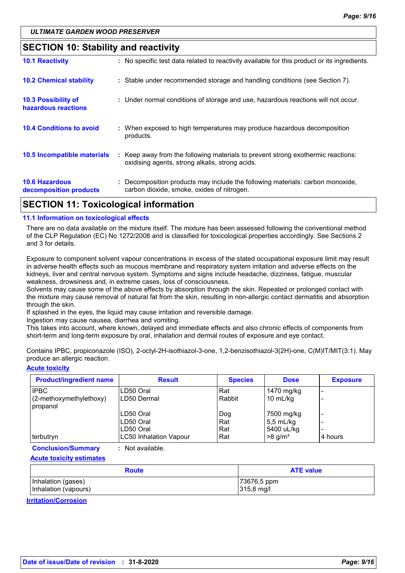### **SECTION 10: Stability and reactivity**

| <b>SECTION 11: Toxicological information</b>      |                                                                                                                                     |
|---------------------------------------------------|-------------------------------------------------------------------------------------------------------------------------------------|
| <b>10.6 Hazardous</b><br>decomposition products   | : Decomposition products may include the following materials: carbon monoxide,<br>carbon dioxide, smoke, oxides of nitrogen.        |
| 10.5 Incompatible materials                       | : Keep away from the following materials to prevent strong exothermic reactions:<br>oxidising agents, strong alkalis, strong acids. |
| <b>10.4 Conditions to avoid</b>                   | : When exposed to high temperatures may produce hazardous decomposition<br>products.                                                |
| <b>10.3 Possibility of</b><br>hazardous reactions | : Under normal conditions of storage and use, hazardous reactions will not occur.                                                   |
| <b>10.2 Chemical stability</b>                    | : Stable under recommended storage and handling conditions (see Section 7).                                                         |
| <b>10.1 Reactivity</b>                            | : No specific test data related to reactivity available for this product or its ingredients.                                        |

# **11.1 Information on toxicological effects**

There are no data available on the mixture itself. The mixture has been assessed following the conventional method of the CLP Regulation (EC) No 1272/2008 and is classified for toxicological properties accordingly. See Sections 2 and 3 for details.

Exposure to component solvent vapour concentrations in excess of the stated occupational exposure limit may result in adverse health effects such as mucous membrane and respiratory system irritation and adverse effects on the kidneys, liver and central nervous system. Symptoms and signs include headache, dizziness, fatigue, muscular weakness, drowsiness and, in extreme cases, loss of consciousness.

Solvents may cause some of the above effects by absorption through the skin. Repeated or prolonged contact with the mixture may cause removal of natural fat from the skin, resulting in non-allergic contact dermatitis and absorption through the skin.

If splashed in the eyes, the liquid may cause irritation and reversible damage.

Ingestion may cause nausea, diarrhea and vomiting.

This takes into account, where known, delayed and immediate effects and also chronic effects of components from short-term and long-term exposure by oral, inhalation and dermal routes of exposure and eye contact.

Contains IPBC, propiconazole (ISO), 2-octyl-2H-isothiazol-3-one, 1,2-benzisothiazol-3(2H)-one, C(M)IT/MIT(3:1). May produce an allergic reaction.

#### **Acute toxicity**

| <b>Product/ingredient name</b>                              | <b>Result</b>                        | <b>Species</b>    | <b>Dose</b>                                     | <b>Exposure</b> |
|-------------------------------------------------------------|--------------------------------------|-------------------|-------------------------------------------------|-----------------|
| <b>IPBC</b><br>(2-methoxymethylethoxy)<br><i>I</i> propanol | LD50 Oral<br>LD50 Dermal             | Rat<br>Rabbit     | 1470 mg/kg<br>10 mL/kg                          |                 |
|                                                             | LD50 Oral<br>ILD50 Oral<br>LD50 Oral | Dog<br>Rat<br>Rat | 7500 mg/kg<br>$5,5 \text{ mL/kg}$<br>5400 uL/kg |                 |
| terbutryn                                                   | <b>LC50 Inhalation Vapour</b>        | Rat               | $>8$ g/m <sup>3</sup>                           | 4 hours         |

**Conclusion/Summary :** Not available.

**Acute toxicity estimates**

| <b>Route</b>         | <b>ATE value</b> |  |
|----------------------|------------------|--|
| Inhalation (gases)   | 73676,5 ppm      |  |
| Inhalation (vapours) | 315,8 mg/l       |  |

**Irritation/Corrosion**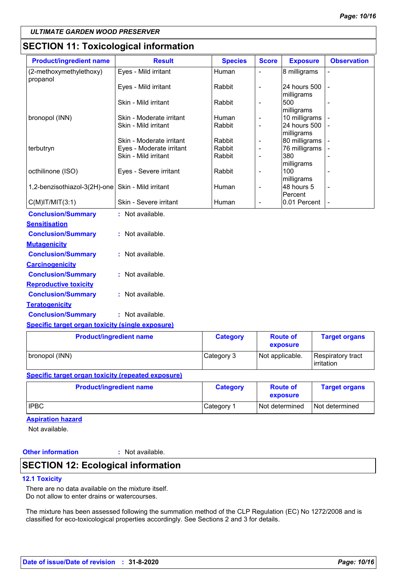### **SECTION 11: Toxicological information**

| <b>Product/ingredient name</b>      | <b>Result</b>            | <b>Species</b> | <b>Score</b>             | <b>Exposure</b>            | <b>Observation</b> |
|-------------------------------------|--------------------------|----------------|--------------------------|----------------------------|--------------------|
| (2-methoxymethylethoxy)<br>propanol | Eyes - Mild irritant     | Human          |                          | 8 milligrams               |                    |
|                                     | Eyes - Mild irritant     | Rabbit         | $\overline{\phantom{a}}$ | 24 hours 500<br>milligrams |                    |
|                                     | Skin - Mild irritant     | Rabbit         | L,                       | 500<br>milligrams          |                    |
| bronopol (INN)                      | Skin - Moderate irritant | Human          | $\overline{\phantom{a}}$ | 10 milligrams              |                    |
|                                     | Skin - Mild irritant     | Rabbit         | $\overline{a}$           | 24 hours 500<br>milligrams |                    |
|                                     | Skin - Moderate irritant | Rabbit         | $\overline{\phantom{a}}$ | 80 milligrams              |                    |
| terbutryn                           | Eyes - Moderate irritant | Rabbit         | $\overline{\phantom{a}}$ | 76 milligrams              |                    |
|                                     | Skin - Mild irritant     | Rabbit         | $\overline{\phantom{a}}$ | 380<br>milligrams          |                    |
| octhilinone (ISO)                   | Eyes - Severe irritant   | Rabbit         | $\overline{a}$           | 100<br>milligrams          |                    |
| 1,2-benzisothiazol-3(2H)-one        | Skin - Mild irritant     | Human          | $\overline{a}$           | 48 hours 5<br>Percent      |                    |
| $C(M)$ IT/MIT $(3:1)$               | Skin - Severe irritant   | Human          | $\blacksquare$           | 0.01 Percent               |                    |
| <b>Conclusion/Summary</b>           | : Not available.         |                |                          |                            |                    |
| <b>Sensitisation</b>                |                          |                |                          |                            |                    |
| <b>Conclusion/Summary</b>           | : Not available.         |                |                          |                            |                    |
| <b>Mutagenicity</b>                 |                          |                |                          |                            |                    |
| <b>Conclusion/Summary</b>           | : Not available.         |                |                          |                            |                    |
| <b>Carcinogenicity</b>              |                          |                |                          |                            |                    |
| <b>Conclusion/Summary</b>           | : Not available.         |                |                          |                            |                    |
| <b>Reproductive toxicity</b>        |                          |                |                          |                            |                    |
| <b>Conclusion/Summary</b>           | : Not available.         |                |                          |                            |                    |
| <b>Teratogenicity</b>               |                          |                |                          |                            |                    |
| <b>Conclusion/Summary</b>           | : Not available.         |                |                          |                            |                    |

### **Specific target organ toxicity (single exposure)**

| <b>Product/ingredient name</b> | <b>Category</b> | <b>Route of</b><br>exposure | <b>Target organs</b>                     |
|--------------------------------|-----------------|-----------------------------|------------------------------------------|
| bronopol (INN)                 | Category 3      | Not applicable.             | Respiratory tract<br><b>l</b> irritation |

#### **Specific target organ toxicity (repeated exposure)**

| <b>Product/ingredient name</b> | <b>Category</b> | <b>Route of</b><br>exposure | <b>Target organs</b> |
|--------------------------------|-----------------|-----------------------------|----------------------|
| <b>IPBC</b>                    | Category 1      | Not determined              | Not determined       |

### **Aspiration hazard**

Not available.

### **Other information :**

### : Not available.

### **SECTION 12: Ecological information**

### **12.1 Toxicity**

There are no data available on the mixture itself. Do not allow to enter drains or watercourses.

The mixture has been assessed following the summation method of the CLP Regulation (EC) No 1272/2008 and is classified for eco-toxicological properties accordingly. See Sections 2 and 3 for details.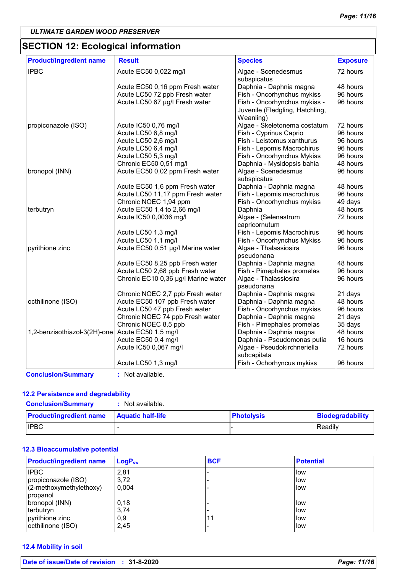# **SECTION 12: Ecological information**

|                                     | <b>Species</b>                                                                             | <b>Exposure</b> |
|-------------------------------------|--------------------------------------------------------------------------------------------|-----------------|
| Acute EC50 0,022 mg/l               | Algae - Scenedesmus                                                                        | 72 hours        |
|                                     | subspicatus                                                                                |                 |
| Acute EC50 0,16 ppm Fresh water     | Daphnia - Daphnia magna                                                                    | 48 hours        |
| Acute LC50 72 ppb Fresh water       | Fish - Oncorhynchus mykiss                                                                 | 96 hours        |
| Acute LC50 67 µg/l Fresh water      | Fish - Oncorhynchus mykiss -                                                               | 96 hours        |
|                                     | Juvenile (Fledgling, Hatchling,                                                            |                 |
|                                     | Weanling)                                                                                  |                 |
| Acute IC50 0,76 mg/l                | Algae - Skeletonema costatum                                                               | 72 hours        |
| Acute LC50 6,8 mg/l                 | Fish - Cyprinus Caprio                                                                     | 96 hours        |
| Acute LC50 2,6 mg/l                 | Fish - Leistomus xanthurus                                                                 | 96 hours        |
| Acute LC50 6,4 mg/l                 | Fish - Lepomis Macrochirus                                                                 | 96 hours        |
| Acute LC50 5,3 mg/l                 | Fish - Oncorhynchus Mykiss                                                                 | 96 hours        |
| Chronic EC50 0,51 mg/l              | Daphnia - Mysidopsis bahia                                                                 | 48 hours        |
| Acute EC50 0,02 ppm Fresh water     | Algae - Scenedesmus<br>subspicatus                                                         | 96 hours        |
| Acute EC50 1,6 ppm Fresh water      | Daphnia - Daphnia magna                                                                    | 48 hours        |
| Acute LC50 11,17 ppm Fresh water    | Fish - Lepomis macrochirus                                                                 | 96 hours        |
| Chronic NOEC 1,94 ppm               | Fish - Oncorhynchus mykiss                                                                 | 49 days         |
| Acute EC50 1,4 to 2,66 mg/l         | Daphnia                                                                                    | 48 hours        |
| Acute IC50 0,0036 mg/l              | Algae - (Selenastrum                                                                       | 72 hours        |
|                                     | capricornutum                                                                              |                 |
| Acute LC50 1,3 mg/l                 | Fish - Lepomis Macrochirus                                                                 | 96 hours        |
| Acute LC50 1,1 mg/l                 | Fish - Oncorhynchus Mykiss                                                                 | 96 hours        |
| Acute EC50 0,51 µg/l Marine water   | Algae - Thalassiosira                                                                      | 96 hours        |
|                                     | pseudonana                                                                                 |                 |
| Acute EC50 8,25 ppb Fresh water     | Daphnia - Daphnia magna                                                                    | 48 hours        |
| Acute LC50 2,68 ppb Fresh water     | Fish - Pimephales promelas                                                                 | 96 hours        |
| Chronic EC10 0,36 µg/l Marine water | Algae - Thalassiosira                                                                      | 96 hours        |
|                                     | pseudonana                                                                                 |                 |
| Chronic NOEC 2,7 ppb Fresh water    | Daphnia - Daphnia magna                                                                    | 21 days         |
| Acute EC50 107 ppb Fresh water      | Daphnia - Daphnia magna                                                                    | 48 hours        |
| Acute LC50 47 ppb Fresh water       | Fish - Oncorhynchus mykiss                                                                 | 96 hours        |
| Chronic NOEC 74 ppb Fresh water     | Daphnia - Daphnia magna                                                                    | 21 days         |
| Chronic NOEC 8,5 ppb                | Fish - Pimephales promelas                                                                 | 35 days         |
|                                     | Daphnia - Daphnia magna                                                                    | 48 hours        |
|                                     | Daphnia - Pseudomonas putia                                                                | 16 hours        |
|                                     | Algae - Pseudokirchneriella                                                                | 72 hours        |
|                                     | subcapitata                                                                                |                 |
|                                     | Fish - Ochorhyncus mykiss                                                                  | 96 hours        |
|                                     | Acute EC50 1,5 mg/l<br>Acute EC50 0,4 mg/l<br>Acute IC50 0,067 mg/l<br>Acute LC50 1,3 mg/l |                 |

#### **12.2 Persistence and degradability**

**Conclusion/Summary :** Not available.

| <b>Product/ingredient name</b> | <b>Aquatic half-life</b> | <b>Photolysis</b> | <b>Biodegradability</b> |
|--------------------------------|--------------------------|-------------------|-------------------------|
| <b>IPBC</b>                    |                          |                   | Readily                 |

### **12.3 Bioaccumulative potential**

| <b>Product/ingredient name</b> | LogP <sub>ow</sub> | <b>BCF</b> | <b>Potential</b> |
|--------------------------------|--------------------|------------|------------------|
| <b>IPBC</b>                    | 2,81               |            | low              |
| propiconazole (ISO)            | 3,72               |            | low              |
| (2-methoxymethylethoxy)        | 0.004              |            | low              |
| propanol                       |                    |            |                  |
| bronopol (INN)                 | 0,18               |            | low              |
| terbutryn                      | 3,74               |            | llow             |
| pyrithione zinc                | 0,9                | 11         | low              |
| octhilinone (ISO)              | 2,45               |            | low              |

#### **12.4 Mobility in soil**

| Date of issue/Date of revision : 31-8-202 |
|-------------------------------------------|
|-------------------------------------------|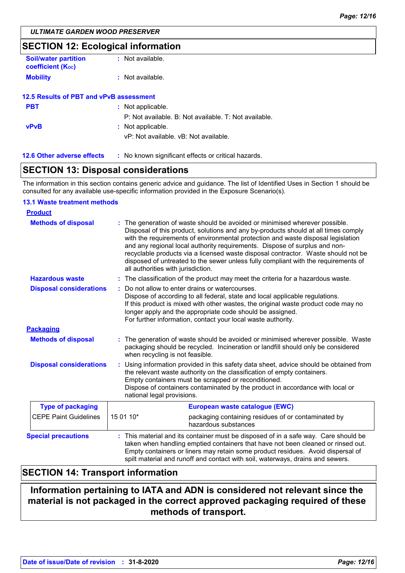### **SECTION 12: Ecological information**

| <b>Soil/water partition</b><br><b>coefficient (Koc)</b> | : Not available.                                                           |
|---------------------------------------------------------|----------------------------------------------------------------------------|
| <b>Mobility</b>                                         | : Not available.                                                           |
| 12.5 Results of PBT and vPvB assessment                 |                                                                            |
| <b>PBT</b>                                              | : Not applicable.<br>P: Not available. B: Not available. T: Not available. |
| <b>vPvB</b>                                             | : Not applicable.<br>vP: Not available, vB: Not available.                 |

**12.6 Other adverse effects** : No known significant effects or critical hazards.

### **SECTION 13: Disposal considerations**

The information in this section contains generic advice and guidance. The list of Identified Uses in Section 1 should be consulted for any available use-specific information provided in the Exposure Scenario(s).

#### **13.1 Waste treatment methods**

| <b>Product</b>                 |                                                                                                                                                                                                                                                                                                                                                                                                                                                                                                                                                    |  |  |
|--------------------------------|----------------------------------------------------------------------------------------------------------------------------------------------------------------------------------------------------------------------------------------------------------------------------------------------------------------------------------------------------------------------------------------------------------------------------------------------------------------------------------------------------------------------------------------------------|--|--|
| <b>Methods of disposal</b>     | The generation of waste should be avoided or minimised wherever possible.<br>Disposal of this product, solutions and any by-products should at all times comply<br>with the requirements of environmental protection and waste disposal legislation<br>and any regional local authority requirements. Dispose of surplus and non-<br>recyclable products via a licensed waste disposal contractor. Waste should not be<br>disposed of untreated to the sewer unless fully compliant with the requirements of<br>all authorities with jurisdiction. |  |  |
| <b>Hazardous waste</b>         | : The classification of the product may meet the criteria for a hazardous waste.                                                                                                                                                                                                                                                                                                                                                                                                                                                                   |  |  |
| <b>Disposal considerations</b> | Do not allow to enter drains or watercourses.<br>Dispose of according to all federal, state and local applicable regulations.<br>If this product is mixed with other wastes, the original waste product code may no<br>longer apply and the appropriate code should be assigned.<br>For further information, contact your local waste authority.                                                                                                                                                                                                   |  |  |
| <b>Packaging</b>               |                                                                                                                                                                                                                                                                                                                                                                                                                                                                                                                                                    |  |  |
| <b>Methods of disposal</b>     | : The generation of waste should be avoided or minimised wherever possible. Waste<br>packaging should be recycled. Incineration or landfill should only be considered<br>when recycling is not feasible.                                                                                                                                                                                                                                                                                                                                           |  |  |
| <b>Disposal considerations</b> | Using information provided in this safety data sheet, advice should be obtained from<br>the relevant waste authority on the classification of empty containers.<br>Empty containers must be scrapped or reconditioned.<br>Dispose of containers contaminated by the product in accordance with local or<br>national legal provisions.                                                                                                                                                                                                              |  |  |
| <b>Type of packaging</b>       | European waste catalogue (EWC)                                                                                                                                                                                                                                                                                                                                                                                                                                                                                                                     |  |  |
| <b>CEPE Paint Guidelines</b>   | 15 01 10*<br>packaging containing residues of or contaminated by<br>hazardous substances                                                                                                                                                                                                                                                                                                                                                                                                                                                           |  |  |
| <b>Special precautions</b>     | : This material and its container must be disposed of in a safe way. Care should be<br>taken when handling emptied containers that have not been cleaned or rinsed out.<br>Empty containers or liners may retain some product residues. Avoid dispersal of<br>spilt material and runoff and contact with soil, waterways, drains and sewers.                                                                                                                                                                                                       |  |  |

### **SECTION 14: Transport information**

### **Information pertaining to IATA and ADN is considered not relevant since the material is not packaged in the correct approved packaging required of these methods of transport.**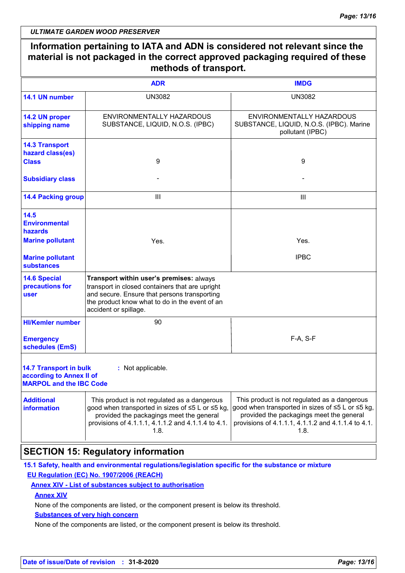|                                                                                             | <b>ADR</b>                                                                                                                                                                                                             | <b>IMDG</b>                                                                                                                                                                                                |
|---------------------------------------------------------------------------------------------|------------------------------------------------------------------------------------------------------------------------------------------------------------------------------------------------------------------------|------------------------------------------------------------------------------------------------------------------------------------------------------------------------------------------------------------|
| 14.1 UN number                                                                              | <b>UN3082</b>                                                                                                                                                                                                          | <b>UN3082</b>                                                                                                                                                                                              |
| 14.2 UN proper<br>shipping name                                                             | ENVIRONMENTALLY HAZARDOUS<br>SUBSTANCE, LIQUID, N.O.S. (IPBC)                                                                                                                                                          | ENVIRONMENTALLY HAZARDOUS<br>SUBSTANCE, LIQUID, N.O.S. (IPBC). Marine<br>pollutant (IPBC)                                                                                                                  |
| <b>14.3 Transport</b><br>hazard class(es)                                                   |                                                                                                                                                                                                                        |                                                                                                                                                                                                            |
| <b>Class</b>                                                                                | 9                                                                                                                                                                                                                      | 9                                                                                                                                                                                                          |
| <b>Subsidiary class</b>                                                                     |                                                                                                                                                                                                                        |                                                                                                                                                                                                            |
| <b>14.4 Packing group</b>                                                                   | $\mathbf{III}$                                                                                                                                                                                                         | $\mathbf{III}$                                                                                                                                                                                             |
| 14.5<br><b>Environmental</b><br>hazards                                                     |                                                                                                                                                                                                                        |                                                                                                                                                                                                            |
| <b>Marine pollutant</b>                                                                     | Yes.                                                                                                                                                                                                                   | Yes.                                                                                                                                                                                                       |
| <b>Marine pollutant</b><br><b>substances</b>                                                |                                                                                                                                                                                                                        | <b>IPBC</b>                                                                                                                                                                                                |
| <b>14.6 Special</b><br>precautions for<br>user                                              | Transport within user's premises: always<br>transport in closed containers that are upright<br>and secure. Ensure that persons transporting<br>the product know what to do in the event of an<br>accident or spillage. |                                                                                                                                                                                                            |
| <b>HI/Kemler number</b>                                                                     | 90                                                                                                                                                                                                                     |                                                                                                                                                                                                            |
| <b>Emergency</b><br>schedules (EmS)                                                         |                                                                                                                                                                                                                        | F-A, S-F                                                                                                                                                                                                   |
| <b>14.7 Transport in bulk</b><br>according to Annex II of<br><b>MARPOL and the IBC Code</b> | : Not applicable.                                                                                                                                                                                                      |                                                                                                                                                                                                            |
| <b>Additional</b><br><b>information</b>                                                     | This product is not regulated as a dangerous<br>good when transported in sizes of ≤5 L or ≤5 kg,<br>provided the packagings meet the general<br>provisions of 4.1.1.1, 4.1.1.2 and 4.1.1.4 to 4.1.<br>1.8.             | This product is not regulated as a dangerous<br>good when transported in sizes of ≤5 L or ≤5 kg,<br>provided the packagings meet the general<br>provisions of 4.1.1.1, 4.1.1.2 and 4.1.1.4 to 4.1.<br>1.8. |

### **SECTION 15: Regulatory information**

**15.1 Safety, health and environmental regulations/legislation specific for the substance or mixture EU Regulation (EC) No. 1907/2006 (REACH)**

### **Annex XIV - List of substances subject to authorisation**

**Annex XIV**

None of the components are listed, or the component present is below its threshold.

#### **Substances of very high concern**

None of the components are listed, or the component present is below its threshold.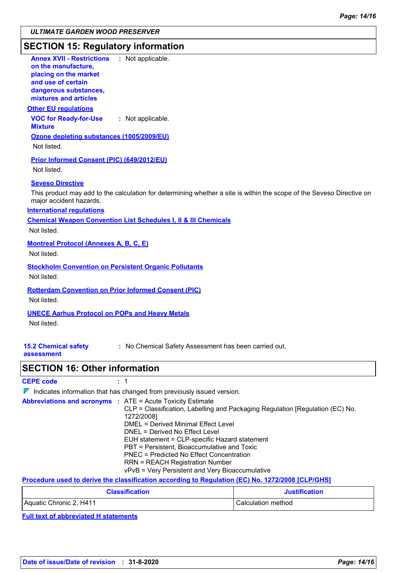### **SECTION 15: Regulatory information**

| <b>Annex XVII - Restrictions</b><br>: Not applicable.<br>on the manufacture,                                                                     |
|--------------------------------------------------------------------------------------------------------------------------------------------------|
| placing on the market                                                                                                                            |
| and use of certain                                                                                                                               |
| dangerous substances,<br>mixtures and articles                                                                                                   |
| <b>Other EU regulations</b>                                                                                                                      |
| <b>VOC for Ready-for-Use</b><br>: Not applicable.<br><b>Mixture</b>                                                                              |
| Ozone depleting substances (1005/2009/EU)                                                                                                        |
| Not listed.                                                                                                                                      |
| Prior Informed Consent (PIC) (649/2012/EU)                                                                                                       |
| Not listed.                                                                                                                                      |
| <b>Seveso Directive</b>                                                                                                                          |
| This product may add to the calculation for determining whether a site is within the scope of the Seveso Directive on<br>major accident hazards. |
| <b>International requlations</b>                                                                                                                 |
| <b>Chemical Weapon Convention List Schedules I, II &amp; III Chemicals</b>                                                                       |
| Not listed.                                                                                                                                      |
| <b>Montreal Protocol (Annexes A, B, C, E)</b>                                                                                                    |
| Not listed.                                                                                                                                      |
| <b>Stockholm Convention on Persistent Organic Pollutants</b>                                                                                     |
| Not listed.                                                                                                                                      |
| <b>Rotterdam Convention on Prior Informed Consent (PIC)</b>                                                                                      |
| Not listed.                                                                                                                                      |
| <b>UNECE Aarhus Protocol on POPs and Heavy Metals</b>                                                                                            |
| Not listed.                                                                                                                                      |
|                                                                                                                                                  |
| <b>15.2 Chemical safety</b><br>: No Chemical Safety Assessment has been carried out.<br>assessment                                               |
| <b>SECTION 16: Other information</b>                                                                                                             |
| <b>CEPE code</b><br>: 1                                                                                                                          |
| $\mathbb{Z}$ Indicates information that has channed from previously issued version                                                               |

 $\overline{a}$ Indicates information that has changed from previously issued version.

| <b>Abbreviations and acronyms : ATE = Acute Toxicity Estimate</b> |                                                                               |
|-------------------------------------------------------------------|-------------------------------------------------------------------------------|
|                                                                   | CLP = Classification, Labelling and Packaging Regulation [Regulation (EC) No. |
|                                                                   | 1272/2008]                                                                    |
|                                                                   | DMEL = Derived Minimal Effect Level                                           |
|                                                                   | DNEL = Derived No Effect Level                                                |
|                                                                   | EUH statement = CLP-specific Hazard statement                                 |
|                                                                   | PBT = Persistent, Bioaccumulative and Toxic                                   |
|                                                                   | <b>PNEC</b> = Predicted No Effect Concentration                               |
|                                                                   | <b>RRN = REACH Registration Number</b>                                        |
|                                                                   | vPvB = Very Persistent and Very Bioaccumulative                               |

**Procedure used to derive the classification according to Regulation (EC) No. 1272/2008 [CLP/GHS]**

| <b>Classification</b>   | <b>Justification</b> |
|-------------------------|----------------------|
| Aquatic Chronic 2, H411 | Calculation method   |

**Full text of abbreviated H statements**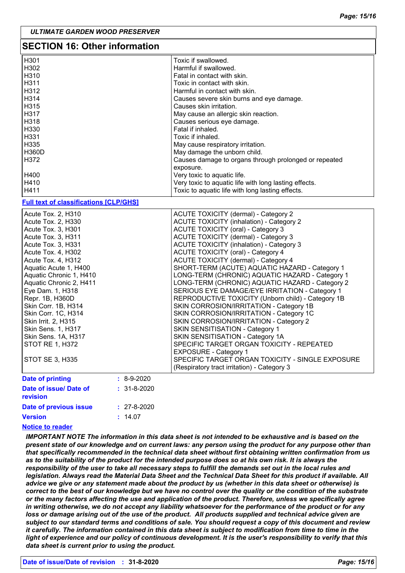| <b>SECTION 16: Other information</b>                                                                                                                                                                                                                                                                                                                                                                                                                            |                   |                                                                                                                                                                                                                                                                                                                                                                                                                                                                                                                                                                                                                                                                                                                                                                                                                                                                                                                                                                                           |  |
|-----------------------------------------------------------------------------------------------------------------------------------------------------------------------------------------------------------------------------------------------------------------------------------------------------------------------------------------------------------------------------------------------------------------------------------------------------------------|-------------------|-------------------------------------------------------------------------------------------------------------------------------------------------------------------------------------------------------------------------------------------------------------------------------------------------------------------------------------------------------------------------------------------------------------------------------------------------------------------------------------------------------------------------------------------------------------------------------------------------------------------------------------------------------------------------------------------------------------------------------------------------------------------------------------------------------------------------------------------------------------------------------------------------------------------------------------------------------------------------------------------|--|
| H301<br>H302<br>H310<br>H311                                                                                                                                                                                                                                                                                                                                                                                                                                    |                   | Toxic if swallowed.<br>Harmful if swallowed.<br>Fatal in contact with skin.<br>Toxic in contact with skin.                                                                                                                                                                                                                                                                                                                                                                                                                                                                                                                                                                                                                                                                                                                                                                                                                                                                                |  |
| H312<br>H314<br>H315<br>H317                                                                                                                                                                                                                                                                                                                                                                                                                                    |                   | Harmful in contact with skin.<br>Causes severe skin burns and eye damage.<br>Causes skin irritation.<br>May cause an allergic skin reaction.                                                                                                                                                                                                                                                                                                                                                                                                                                                                                                                                                                                                                                                                                                                                                                                                                                              |  |
| H318<br>H330<br>H331<br>H335                                                                                                                                                                                                                                                                                                                                                                                                                                    |                   | Causes serious eye damage.<br>Fatal if inhaled.<br>Toxic if inhaled.<br>May cause respiratory irritation.                                                                                                                                                                                                                                                                                                                                                                                                                                                                                                                                                                                                                                                                                                                                                                                                                                                                                 |  |
| <b>H360D</b><br>H372                                                                                                                                                                                                                                                                                                                                                                                                                                            |                   | May damage the unborn child.<br>Causes damage to organs through prolonged or repeated<br>exposure.                                                                                                                                                                                                                                                                                                                                                                                                                                                                                                                                                                                                                                                                                                                                                                                                                                                                                        |  |
| H400<br>H410<br>H411                                                                                                                                                                                                                                                                                                                                                                                                                                            |                   | Very toxic to aquatic life.<br>Very toxic to aquatic life with long lasting effects.<br>Toxic to aquatic life with long lasting effects.                                                                                                                                                                                                                                                                                                                                                                                                                                                                                                                                                                                                                                                                                                                                                                                                                                                  |  |
| <b>Full text of classifications [CLP/GHS]</b>                                                                                                                                                                                                                                                                                                                                                                                                                   |                   |                                                                                                                                                                                                                                                                                                                                                                                                                                                                                                                                                                                                                                                                                                                                                                                                                                                                                                                                                                                           |  |
| Acute Tox. 2, H310<br>Acute Tox. 2, H330<br>Acute Tox. 3, H301<br>Acute Tox. 3, H311<br>Acute Tox. 3, H331<br>Acute Tox. 4, H302<br>Acute Tox. 4, H312<br>Aquatic Acute 1, H400<br>Aquatic Chronic 1, H410<br>Aquatic Chronic 2, H411<br>Eye Dam. 1, H318<br>Repr. 1B, H360D<br>Skin Corr. 1B, H314<br>Skin Corr. 1C, H314<br>Skin Irrit. 2, H315<br>Skin Sens. 1, H317<br>Skin Sens. 1A, H317<br>STOT RE 1, H372<br>STOT SE 3, H335<br><b>Date of printing</b> | $: 8-9-2020$      | <b>ACUTE TOXICITY (dermal) - Category 2</b><br><b>ACUTE TOXICITY (inhalation) - Category 2</b><br><b>ACUTE TOXICITY (oral) - Category 3</b><br><b>ACUTE TOXICITY (dermal) - Category 3</b><br><b>ACUTE TOXICITY (inhalation) - Category 3</b><br><b>ACUTE TOXICITY (oral) - Category 4</b><br>ACUTE TOXICITY (dermal) - Category 4<br>SHORT-TERM (ACUTE) AQUATIC HAZARD - Category 1<br>LONG-TERM (CHRONIC) AQUATIC HAZARD - Category 1<br>LONG-TERM (CHRONIC) AQUATIC HAZARD - Category 2<br>SERIOUS EYE DAMAGE/EYE IRRITATION - Category 1<br>REPRODUCTIVE TOXICITY (Unborn child) - Category 1B<br>SKIN CORROSION/IRRITATION - Category 1B<br>SKIN CORROSION/IRRITATION - Category 1C<br>SKIN CORROSION/IRRITATION - Category 2<br>SKIN SENSITISATION - Category 1<br>SKIN SENSITISATION - Category 1A<br>SPECIFIC TARGET ORGAN TOXICITY - REPEATED<br><b>EXPOSURE - Category 1</b><br>SPECIFIC TARGET ORGAN TOXICITY - SINGLE EXPOSURE<br>(Respiratory tract irritation) - Category 3 |  |
| Date of issue/ Date of                                                                                                                                                                                                                                                                                                                                                                                                                                          | $: 31 - 8 - 2020$ |                                                                                                                                                                                                                                                                                                                                                                                                                                                                                                                                                                                                                                                                                                                                                                                                                                                                                                                                                                                           |  |
| revision<br>Date of previous issue                                                                                                                                                                                                                                                                                                                                                                                                                              | $: 27 - 8 - 2020$ |                                                                                                                                                                                                                                                                                                                                                                                                                                                                                                                                                                                                                                                                                                                                                                                                                                                                                                                                                                                           |  |

### **Notice to reader**

**Version**

*IMPORTANT NOTE The information in this data sheet is not intended to be exhaustive and is based on the present state of our knowledge and on current laws: any person using the product for any purpose other than that specifically recommended in the technical data sheet without first obtaining written confirmation from us as to the suitability of the product for the intended purpose does so at his own risk. It is always the responsibility of the user to take all necessary steps to fulfill the demands set out in the local rules and legislation. Always read the Material Data Sheet and the Technical Data Sheet for this product if available. All advice we give or any statement made about the product by us (whether in this data sheet or otherwise) is correct to the best of our knowledge but we have no control over the quality or the condition of the substrate or the many factors affecting the use and application of the product. Therefore, unless we specifically agree in writing otherwise, we do not accept any liability whatsoever for the performance of the product or for any*  loss or damage arising out of the use of the product. All products supplied and technical advice given are *subject to our standard terms and conditions of sale. You should request a copy of this document and review it carefully. The information contained in this data sheet is subject to modification from time to time in the light of experience and our policy of continuous development. It is the user's responsibility to verify that this data sheet is current prior to using the product.*

14.07 **:**